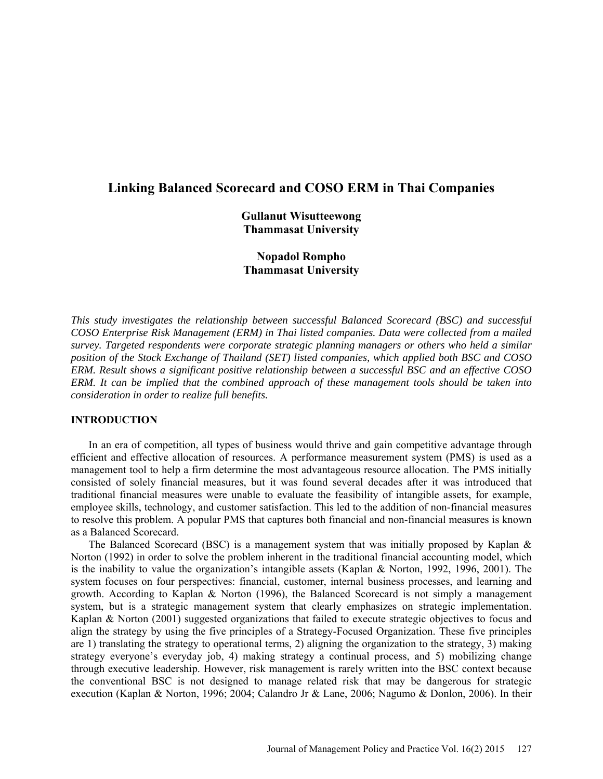# **Linking Balanced Scorecard and COSO ERM in Thai Companies**

**Gullanut Wisutteewong Thammasat University**

**Nopadol Rompho Thammasat University**

*This study investigates the relationship between successful Balanced Scorecard (BSC) and successful COSO Enterprise Risk Management (ERM) in Thai listed companies. Data were collected from a mailed survey. Targeted respondents were corporate strategic planning managers or others who held a similar position of the Stock Exchange of Thailand (SET) listed companies, which applied both BSC and COSO ERM. Result shows a significant positive relationship between a successful BSC and an effective COSO ERM. It can be implied that the combined approach of these management tools should be taken into consideration in order to realize full benefits.*

### **INTRODUCTION**

In an era of competition, all types of business would thrive and gain competitive advantage through efficient and effective allocation of resources. A performance measurement system (PMS) is used as a management tool to help a firm determine the most advantageous resource allocation. The PMS initially consisted of solely financial measures, but it was found several decades after it was introduced that traditional financial measures were unable to evaluate the feasibility of intangible assets, for example, employee skills, technology, and customer satisfaction. This led to the addition of non-financial measures to resolve this problem. A popular PMS that captures both financial and non-financial measures is known as a Balanced Scorecard.

The Balanced Scorecard (BSC) is a management system that was initially proposed by Kaplan & Norton (1992) in order to solve the problem inherent in the traditional financial accounting model, which is the inability to value the organization's intangible assets (Kaplan & Norton, 1992, 1996, 2001). The system focuses on four perspectives: financial, customer, internal business processes, and learning and growth. According to Kaplan & Norton (1996), the Balanced Scorecard is not simply a management system, but is a strategic management system that clearly emphasizes on strategic implementation. Kaplan & Norton (2001) suggested organizations that failed to execute strategic objectives to focus and align the strategy by using the five principles of a Strategy-Focused Organization. These five principles are 1) translating the strategy to operational terms, 2) aligning the organization to the strategy, 3) making strategy everyone's everyday job, 4) making strategy a continual process, and 5) mobilizing change through executive leadership. However, risk management is rarely written into the BSC context because the conventional BSC is not designed to manage related risk that may be dangerous for strategic execution (Kaplan & Norton, 1996; 2004; Calandro Jr & Lane, 2006; Nagumo & Donlon, 2006). In their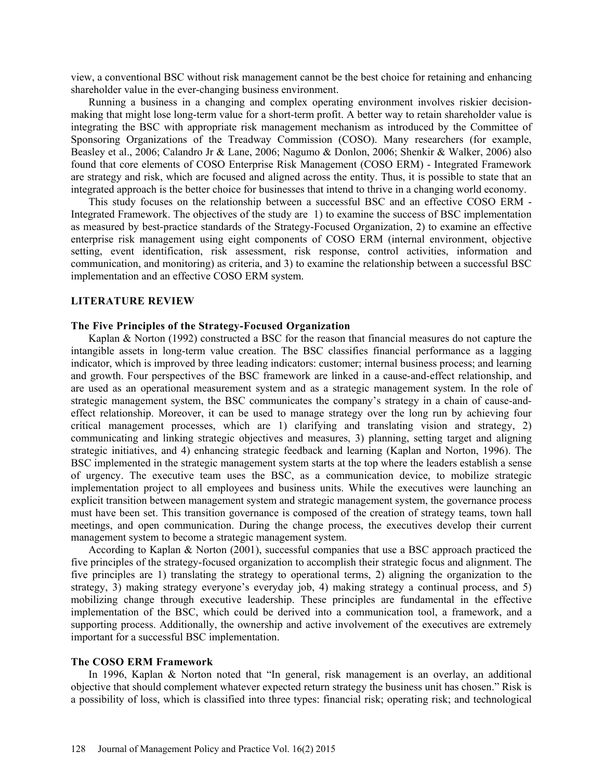view, a conventional BSC without risk management cannot be the best choice for retaining and enhancing shareholder value in the ever-changing business environment.

Running a business in a changing and complex operating environment involves riskier decisionmaking that might lose long-term value for a short-term profit. A better way to retain shareholder value is integrating the BSC with appropriate risk management mechanism as introduced by the Committee of Sponsoring Organizations of the Treadway Commission (COSO). Many researchers (for example, Beasley et al., 2006; Calandro Jr & Lane, 2006; Nagumo & Donlon, 2006; Shenkir & Walker, 2006) also found that core elements of COSO Enterprise Risk Management (COSO ERM) - Integrated Framework are strategy and risk, which are focused and aligned across the entity. Thus, it is possible to state that an integrated approach is the better choice for businesses that intend to thrive in a changing world economy.

This study focuses on the relationship between a successful BSC and an effective COSO ERM - Integrated Framework. The objectives of the study are 1) to examine the success of BSC implementation as measured by best-practice standards of the Strategy-Focused Organization, 2) to examine an effective enterprise risk management using eight components of COSO ERM (internal environment, objective setting, event identification, risk assessment, risk response, control activities, information and communication, and monitoring) as criteria, and 3) to examine the relationship between a successful BSC implementation and an effective COSO ERM system.

#### **LITERATURE REVIEW**

#### **The Five Principles of the Strategy-Focused Organization**

Kaplan & Norton (1992) constructed a BSC for the reason that financial measures do not capture the intangible assets in long-term value creation. The BSC classifies financial performance as a lagging indicator, which is improved by three leading indicators: customer; internal business process; and learning and growth. Four perspectives of the BSC framework are linked in a cause-and-effect relationship, and are used as an operational measurement system and as a strategic management system. In the role of strategic management system, the BSC communicates the company's strategy in a chain of cause-andeffect relationship. Moreover, it can be used to manage strategy over the long run by achieving four critical management processes, which are 1) clarifying and translating vision and strategy, 2) communicating and linking strategic objectives and measures, 3) planning, setting target and aligning strategic initiatives, and 4) enhancing strategic feedback and learning (Kaplan and Norton, 1996). The BSC implemented in the strategic management system starts at the top where the leaders establish a sense of urgency. The executive team uses the BSC, as a communication device, to mobilize strategic implementation project to all employees and business units. While the executives were launching an explicit transition between management system and strategic management system, the governance process must have been set. This transition governance is composed of the creation of strategy teams, town hall meetings, and open communication. During the change process, the executives develop their current management system to become a strategic management system.

According to Kaplan & Norton (2001), successful companies that use a BSC approach practiced the five principles of the strategy-focused organization to accomplish their strategic focus and alignment. The five principles are 1) translating the strategy to operational terms, 2) aligning the organization to the strategy, 3) making strategy everyone's everyday job, 4) making strategy a continual process, and 5) mobilizing change through executive leadership. These principles are fundamental in the effective implementation of the BSC, which could be derived into a communication tool, a framework, and a supporting process. Additionally, the ownership and active involvement of the executives are extremely important for a successful BSC implementation.

### **The COSO ERM Framework**

In 1996, Kaplan & Norton noted that "In general, risk management is an overlay, an additional objective that should complement whatever expected return strategy the business unit has chosen." Risk is a possibility of loss, which is classified into three types: financial risk; operating risk; and technological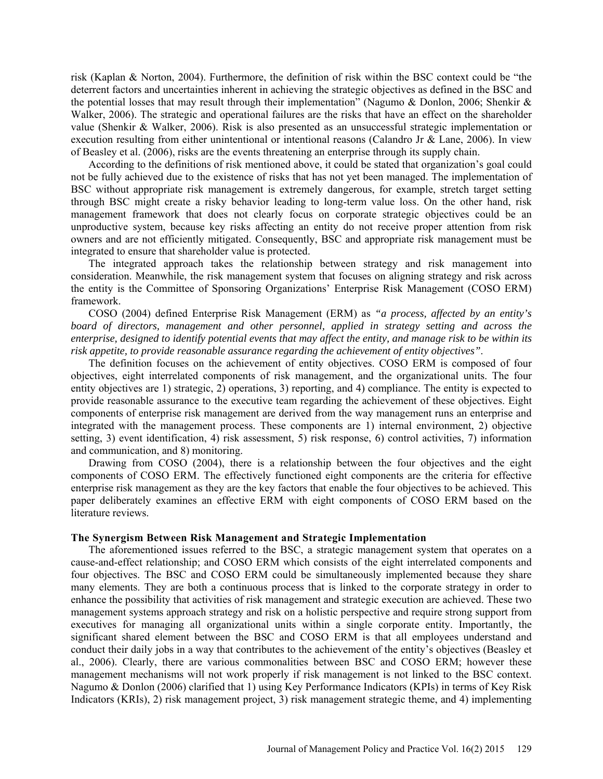risk (Kaplan & Norton, 2004). Furthermore, the definition of risk within the BSC context could be "the deterrent factors and uncertainties inherent in achieving the strategic objectives as defined in the BSC and the potential losses that may result through their implementation" (Nagumo & Donlon, 2006; Shenkir & Walker, 2006). The strategic and operational failures are the risks that have an effect on the shareholder value (Shenkir & Walker, 2006). Risk is also presented as an unsuccessful strategic implementation or execution resulting from either unintentional or intentional reasons (Calandro Jr & Lane, 2006). In view of Beasley et al. (2006), risks are the events threatening an enterprise through its supply chain.

According to the definitions of risk mentioned above, it could be stated that organization's goal could not be fully achieved due to the existence of risks that has not yet been managed. The implementation of BSC without appropriate risk management is extremely dangerous, for example, stretch target setting through BSC might create a risky behavior leading to long-term value loss. On the other hand, risk management framework that does not clearly focus on corporate strategic objectives could be an unproductive system, because key risks affecting an entity do not receive proper attention from risk owners and are not efficiently mitigated. Consequently, BSC and appropriate risk management must be integrated to ensure that shareholder value is protected.

The integrated approach takes the relationship between strategy and risk management into consideration. Meanwhile, the risk management system that focuses on aligning strategy and risk across the entity is the Committee of Sponsoring Organizations' Enterprise Risk Management (COSO ERM) framework.

COSO (2004) defined Enterprise Risk Management (ERM) as *"a process, affected by an entity's board of directors, management and other personnel, applied in strategy setting and across the enterprise, designed to identify potential events that may affect the entity, and manage risk to be within its risk appetite, to provide reasonable assurance regarding the achievement of entity objectives"*.

The definition focuses on the achievement of entity objectives. COSO ERM is composed of four objectives, eight interrelated components of risk management, and the organizational units. The four entity objectives are 1) strategic, 2) operations, 3) reporting, and 4) compliance. The entity is expected to provide reasonable assurance to the executive team regarding the achievement of these objectives. Eight components of enterprise risk management are derived from the way management runs an enterprise and integrated with the management process. These components are 1) internal environment, 2) objective setting, 3) event identification, 4) risk assessment, 5) risk response, 6) control activities, 7) information and communication, and 8) monitoring.

Drawing from COSO (2004), there is a relationship between the four objectives and the eight components of COSO ERM. The effectively functioned eight components are the criteria for effective enterprise risk management as they are the key factors that enable the four objectives to be achieved. This paper deliberately examines an effective ERM with eight components of COSO ERM based on the literature reviews.

#### **The Synergism Between Risk Management and Strategic Implementation**

The aforementioned issues referred to the BSC, a strategic management system that operates on a cause-and-effect relationship; and COSO ERM which consists of the eight interrelated components and four objectives. The BSC and COSO ERM could be simultaneously implemented because they share many elements. They are both a continuous process that is linked to the corporate strategy in order to enhance the possibility that activities of risk management and strategic execution are achieved. These two management systems approach strategy and risk on a holistic perspective and require strong support from executives for managing all organizational units within a single corporate entity. Importantly, the significant shared element between the BSC and COSO ERM is that all employees understand and conduct their daily jobs in a way that contributes to the achievement of the entity's objectives (Beasley et al., 2006). Clearly, there are various commonalities between BSC and COSO ERM; however these management mechanisms will not work properly if risk management is not linked to the BSC context. Nagumo & Donlon (2006) clarified that 1) using Key Performance Indicators (KPIs) in terms of Key Risk Indicators (KRIs), 2) risk management project, 3) risk management strategic theme, and 4) implementing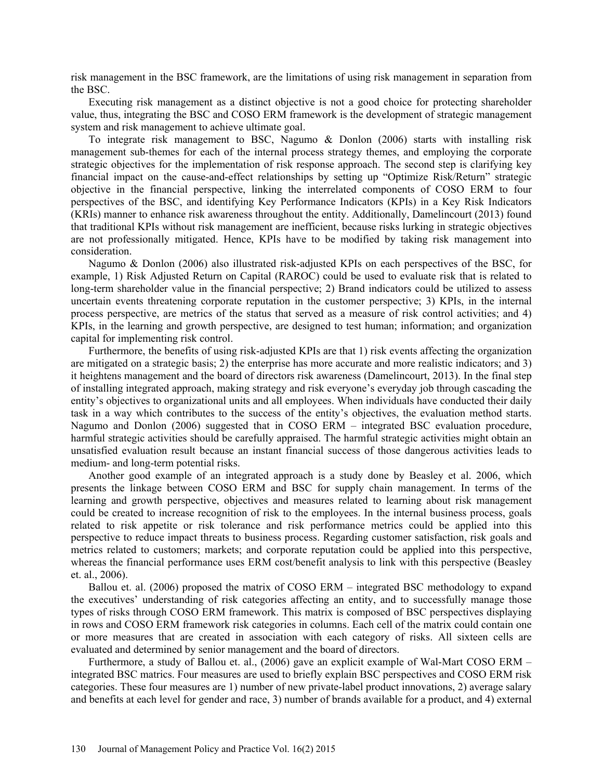risk management in the BSC framework, are the limitations of using risk management in separation from the BSC.

Executing risk management as a distinct objective is not a good choice for protecting shareholder value, thus, integrating the BSC and COSO ERM framework is the development of strategic management system and risk management to achieve ultimate goal.

To integrate risk management to BSC, Nagumo & Donlon (2006) starts with installing risk management sub-themes for each of the internal process strategy themes, and employing the corporate strategic objectives for the implementation of risk response approach. The second step is clarifying key financial impact on the cause-and-effect relationships by setting up "Optimize Risk/Return" strategic objective in the financial perspective, linking the interrelated components of COSO ERM to four perspectives of the BSC, and identifying Key Performance Indicators (KPIs) in a Key Risk Indicators (KRIs) manner to enhance risk awareness throughout the entity. Additionally, Damelincourt (2013) found that traditional KPIs without risk management are inefficient, because risks lurking in strategic objectives are not professionally mitigated. Hence, KPIs have to be modified by taking risk management into consideration.

Nagumo & Donlon (2006) also illustrated risk-adjusted KPIs on each perspectives of the BSC, for example, 1) Risk Adjusted Return on Capital (RAROC) could be used to evaluate risk that is related to long-term shareholder value in the financial perspective; 2) Brand indicators could be utilized to assess uncertain events threatening corporate reputation in the customer perspective; 3) KPIs, in the internal process perspective, are metrics of the status that served as a measure of risk control activities; and 4) KPIs, in the learning and growth perspective, are designed to test human; information; and organization capital for implementing risk control.

Furthermore, the benefits of using risk-adjusted KPIs are that 1) risk events affecting the organization are mitigated on a strategic basis; 2) the enterprise has more accurate and more realistic indicators; and 3) it heightens management and the board of directors risk awareness (Damelincourt, 2013). In the final step of installing integrated approach, making strategy and risk everyone's everyday job through cascading the entity's objectives to organizational units and all employees. When individuals have conducted their daily task in a way which contributes to the success of the entity's objectives, the evaluation method starts. Nagumo and Donlon (2006) suggested that in COSO ERM – integrated BSC evaluation procedure, harmful strategic activities should be carefully appraised. The harmful strategic activities might obtain an unsatisfied evaluation result because an instant financial success of those dangerous activities leads to medium- and long-term potential risks.

Another good example of an integrated approach is a study done by Beasley et al. 2006, which presents the linkage between COSO ERM and BSC for supply chain management. In terms of the learning and growth perspective, objectives and measures related to learning about risk management could be created to increase recognition of risk to the employees. In the internal business process, goals related to risk appetite or risk tolerance and risk performance metrics could be applied into this perspective to reduce impact threats to business process. Regarding customer satisfaction, risk goals and metrics related to customers; markets; and corporate reputation could be applied into this perspective, whereas the financial performance uses ERM cost/benefit analysis to link with this perspective (Beasley et. al., 2006).

Ballou et. al. (2006) proposed the matrix of COSO ERM – integrated BSC methodology to expand the executives' understanding of risk categories affecting an entity, and to successfully manage those types of risks through COSO ERM framework. This matrix is composed of BSC perspectives displaying in rows and COSO ERM framework risk categories in columns. Each cell of the matrix could contain one or more measures that are created in association with each category of risks. All sixteen cells are evaluated and determined by senior management and the board of directors.

Furthermore, a study of Ballou et. al., (2006) gave an explicit example of Wal-Mart COSO ERM – integrated BSC matrics. Four measures are used to briefly explain BSC perspectives and COSO ERM risk categories. These four measures are 1) number of new private-label product innovations, 2) average salary and benefits at each level for gender and race, 3) number of brands available for a product, and 4) external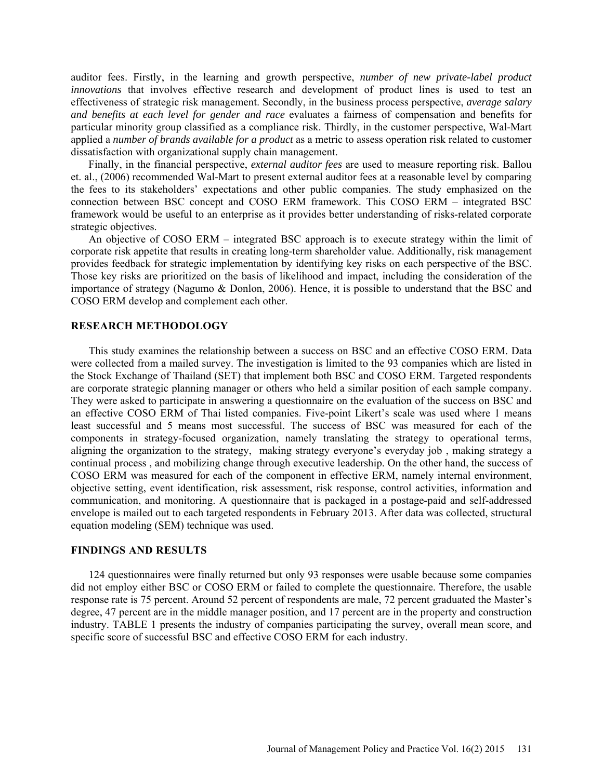auditor fees. Firstly, in the learning and growth perspective, *number of new private-label product innovations* that involves effective research and development of product lines is used to test an effectiveness of strategic risk management. Secondly, in the business process perspective, *average salary and benefits at each level for gender and race* evaluates a fairness of compensation and benefits for particular minority group classified as a compliance risk. Thirdly, in the customer perspective, Wal-Mart applied a *number of brands available for a product* as a metric to assess operation risk related to customer dissatisfaction with organizational supply chain management.

Finally, in the financial perspective, *external auditor fees* are used to measure reporting risk. Ballou et. al., (2006) recommended Wal-Mart to present external auditor fees at a reasonable level by comparing the fees to its stakeholders' expectations and other public companies. The study emphasized on the connection between BSC concept and COSO ERM framework. This COSO ERM – integrated BSC framework would be useful to an enterprise as it provides better understanding of risks-related corporate strategic objectives.

An objective of COSO ERM – integrated BSC approach is to execute strategy within the limit of corporate risk appetite that results in creating long-term shareholder value. Additionally, risk management provides feedback for strategic implementation by identifying key risks on each perspective of the BSC. Those key risks are prioritized on the basis of likelihood and impact, including the consideration of the importance of strategy (Nagumo & Donlon, 2006). Hence, it is possible to understand that the BSC and COSO ERM develop and complement each other.

### **RESEARCH METHODOLOGY**

This study examines the relationship between a success on BSC and an effective COSO ERM. Data were collected from a mailed survey. The investigation is limited to the 93 companies which are listed in the Stock Exchange of Thailand (SET) that implement both BSC and COSO ERM. Targeted respondents are corporate strategic planning manager or others who held a similar position of each sample company. They were asked to participate in answering a questionnaire on the evaluation of the success on BSC and an effective COSO ERM of Thai listed companies. Five-point Likert's scale was used where 1 means least successful and 5 means most successful. The success of BSC was measured for each of the components in strategy-focused organization, namely translating the strategy to operational terms, aligning the organization to the strategy, making strategy everyone's everyday job , making strategy a continual process , and mobilizing change through executive leadership. On the other hand, the success of COSO ERM was measured for each of the component in effective ERM, namely internal environment, objective setting, event identification, risk assessment, risk response, control activities, information and communication, and monitoring. A questionnaire that is packaged in a postage-paid and self-addressed envelope is mailed out to each targeted respondents in February 2013. After data was collected, structural equation modeling (SEM) technique was used.

#### **FINDINGS AND RESULTS**

124 questionnaires were finally returned but only 93 responses were usable because some companies did not employ either BSC or COSO ERM or failed to complete the questionnaire. Therefore, the usable response rate is 75 percent. Around 52 percent of respondents are male, 72 percent graduated the Master's degree, 47 percent are in the middle manager position, and 17 percent are in the property and construction industry. TABLE 1 presents the industry of companies participating the survey, overall mean score, and specific score of successful BSC and effective COSO ERM for each industry.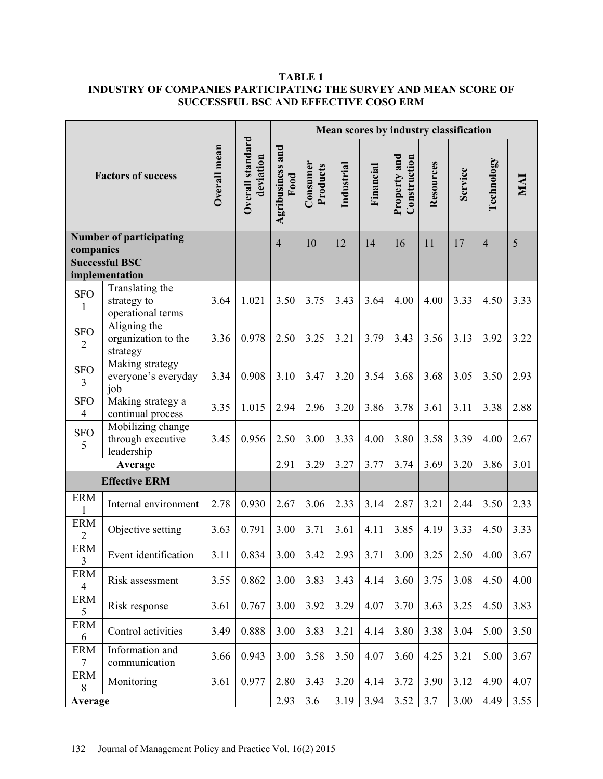## **TABLE 1 INDUSTRY OF COMPANIES PARTICIPATING THE SURVEY AND MEAN SCORE OF SUCCESSFUL BSC AND EFFECTIVE COSO ERM**

| <b>Factors of success</b>          |                                                      | Overall mean | Overall standard<br>deviation | Mean scores by industry classification |                      |            |           |                              |           |         |                |      |
|------------------------------------|------------------------------------------------------|--------------|-------------------------------|----------------------------------------|----------------------|------------|-----------|------------------------------|-----------|---------|----------------|------|
|                                    |                                                      |              |                               | Agribusiness and<br>Food               | Consumer<br>Products | Industrial | Financial | Property and<br>Construction | Resources | Service | Technology     | MAI  |
| <b>Number of participating</b>     |                                                      |              |                               | $\overline{4}$                         | 10                   | 12         | 14        | 16                           | 11        | 17      | $\overline{4}$ | 5    |
| companies<br><b>Successful BSC</b> |                                                      |              |                               |                                        |                      |            |           |                              |           |         |                |      |
| implementation                     |                                                      |              |                               |                                        |                      |            |           |                              |           |         |                |      |
| <b>SFO</b><br>1                    | Translating the<br>strategy to<br>operational terms  | 3.64         | 1.021                         | 3.50                                   | 3.75                 | 3.43       | 3.64      | 4.00                         | 4.00      | 3.33    | 4.50           | 3.33 |
| <b>SFO</b><br>$\overline{2}$       | Aligning the<br>organization to the<br>strategy      | 3.36         | 0.978                         | 2.50                                   | 3.25                 | 3.21       | 3.79      | 3.43                         | 3.56      | 3.13    | 3.92           | 3.22 |
| <b>SFO</b><br>3                    | Making strategy<br>everyone's everyday<br>job        | 3.34         | 0.908                         | 3.10                                   | 3.47                 | 3.20       | 3.54      | 3.68                         | 3.68      | 3.05    | 3.50           | 2.93 |
| <b>SFO</b><br>$\overline{4}$       | Making strategy a<br>continual process               | 3.35         | 1.015                         | 2.94                                   | 2.96                 | 3.20       | 3.86      | 3.78                         | 3.61      | 3.11    | 3.38           | 2.88 |
| <b>SFO</b><br>5                    | Mobilizing change<br>through executive<br>leadership | 3.45         | 0.956                         | 2.50                                   | 3.00                 | 3.33       | 4.00      | 3.80                         | 3.58      | 3.39    | 4.00           | 2.67 |
| Average                            |                                                      |              |                               | 2.91                                   | 3.29                 | 3.27       | 3.77      | 3.74                         | 3.69      | 3.20    | 3.86           | 3.01 |
| <b>Effective ERM</b>               |                                                      |              |                               |                                        |                      |            |           |                              |           |         |                |      |
| <b>ERM</b><br>1                    | Internal environment                                 | 2.78         | 0.930                         | 2.67                                   | 3.06                 | 2.33       | 3.14      | 2.87                         | 3.21      | 2.44    | 3.50           | 2.33 |
| <b>ERM</b><br>$\overline{2}$       | Objective setting                                    | 3.63         | 0.791                         | 3.00                                   | 3.71                 | 3.61       | 4.11      | 3.85                         | 4.19      | 3.33    | 4.50           | 3.33 |
| <b>ERM</b><br>$\mathfrak{Z}$       | Event identification                                 | 3.11         | 0.834                         | 3.00                                   | 3.42                 | 2.93       | 3.71      | 3.00                         | 3.25      | 2.50    | 4.00           | 3.67 |
| <b>ERM</b><br>$\overline{4}$       | Risk assessment                                      | 3.55         | 0.862                         | 3.00                                   | 3.83                 | 3.43       | 4.14      | 3.60                         | 3.75      | 3.08    | 4.50           | 4.00 |
| <b>ERM</b><br>5                    | Risk response                                        | 3.61         | 0.767                         | 3.00                                   | 3.92                 | 3.29       | 4.07      | 3.70                         | 3.63      | 3.25    | 4.50           | 3.83 |
| <b>ERM</b><br>6                    | Control activities                                   | 3.49         | 0.888                         | 3.00                                   | 3.83                 | 3.21       | 4.14      | 3.80                         | 3.38      | 3.04    | 5.00           | 3.50 |
| <b>ERM</b><br>$\tau$               | Information and<br>communication                     | 3.66         | 0.943                         | 3.00                                   | 3.58                 | 3.50       | 4.07      | 3.60                         | 4.25      | 3.21    | 5.00           | 3.67 |
| <b>ERM</b><br>8                    | Monitoring                                           | 3.61         | 0.977                         | 2.80                                   | 3.43                 | 3.20       | 4.14      | 3.72                         | 3.90      | 3.12    | 4.90           | 4.07 |
| Average                            |                                                      |              |                               | 2.93                                   | 3.6                  | 3.19       | 3.94      | 3.52                         | 3.7       | 3.00    | 4.49           | 3.55 |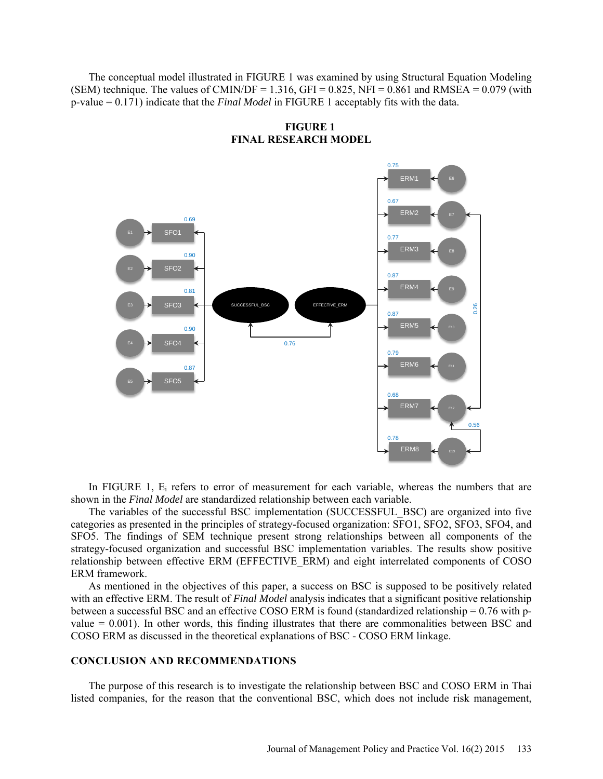The conceptual model illustrated in FIGURE 1 was examined by using Structural Equation Modeling (SEM) technique. The values of CMIN/DF = 1.316, GFI =  $0.825$ , NFI =  $0.861$  and RMSEA =  $0.079$  (with p-value = 0.171) indicate that the *Final Model* in FIGURE 1 acceptably fits with the data.

**FIGURE 1 FINAL RESEARCH MODEL**



In FIGURE 1,  $E_i$  refers to error of measurement for each variable, whereas the numbers that are shown in the *Final Model* are standardized relationship between each variable.

The variables of the successful BSC implementation (SUCCESSFUL\_BSC) are organized into five categories as presented in the principles of strategy-focused organization: SFO1, SFO2, SFO3, SFO4, and SFO5. The findings of SEM technique present strong relationships between all components of the strategy-focused organization and successful BSC implementation variables. The results show positive relationship between effective ERM (EFFECTIVE\_ERM) and eight interrelated components of COSO ERM framework.

As mentioned in the objectives of this paper, a success on BSC is supposed to be positively related with an effective ERM. The result of *Final Model* analysis indicates that a significant positive relationship between a successful BSC and an effective COSO ERM is found (standardized relationship = 0.76 with pvalue = 0.001). In other words, this finding illustrates that there are commonalities between BSC and COSO ERM as discussed in the theoretical explanations of BSC - COSO ERM linkage.

### **CONCLUSION AND RECOMMENDATIONS**

The purpose of this research is to investigate the relationship between BSC and COSO ERM in Thai listed companies, for the reason that the conventional BSC, which does not include risk management,